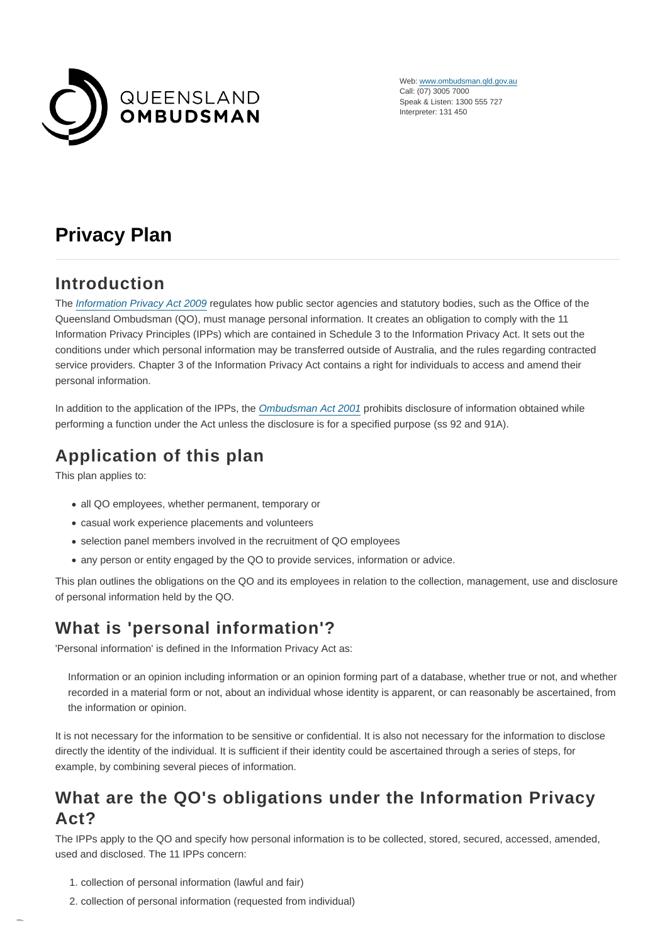

Web: [www.ombudsman.qld.gov.au](https://www.ombudsman.qld.gov.au/) Call: (07) 3005 7000 Speak & Listen: 1300 555 727 Interpreter: 131 450

# **Privacy Plan**

## **Introduction**

The [Information Privacy Act 2009](https://www.legislation.qld.gov.au/legisltn/current/i/infopriva09.pdf) regulates how public sector agencies and statutory bodies, such as the Office of the Queensland Ombudsman (QO), must manage personal information. It creates an obligation to comply with the 11 Information Privacy Principles (IPPs) which are contained in Schedule 3 to the Information Privacy Act. It sets out the conditions under which personal information may be transferred outside of Australia, and the rules regarding contracted service providers. Chapter 3 of the Information Privacy Act contains a right for individuals to access and amend their personal information.

In addition to the application of the IPPs, the [Ombudsman Act 2001](https://www.legislation.qld.gov.au/LEGISLTN/CURRENT/O/OmbudsA01.pdf) prohibits disclosure of information obtained while performing a function under the Act unless the disclosure is for a specified purpose (ss 92 and 91A).

# **Application of this plan**

This plan applies to:

- all QO employees, whether permanent, temporary or
- casual work experience placements and volunteers
- selection panel members involved in the recruitment of QO employees
- any person or entity engaged by the QO to provide services, information or advice.

This plan outlines the obligations on the QO and its employees in relation to the collection, management, use and disclosure of personal information held by the QO.

# **What is 'personal information'?**

'Personal information' is defined in the Information Privacy Act as:

Information or an opinion including information or an opinion forming part of a database, whether true or not, and whether recorded in a material form or not, about an individual whose identity is apparent, or can reasonably be ascertained, from the information or opinion.

It is not necessary for the information to be sensitive or confidential. It is also not necessary for the information to disclose directly the identity of the individual. It is sufficient if their identity could be ascertained through a series of steps, for example, by combining several pieces of information.

## **What are the QO's obligations under the Information Privacy Act?**

The IPPs apply to the QO and specify how personal information is to be collected, stored, secured, accessed, amended, used and disclosed. The 11 IPPs concern:

- 1. collection of personal information (lawful and fair)
- 2. collection of personal information (requested from individual)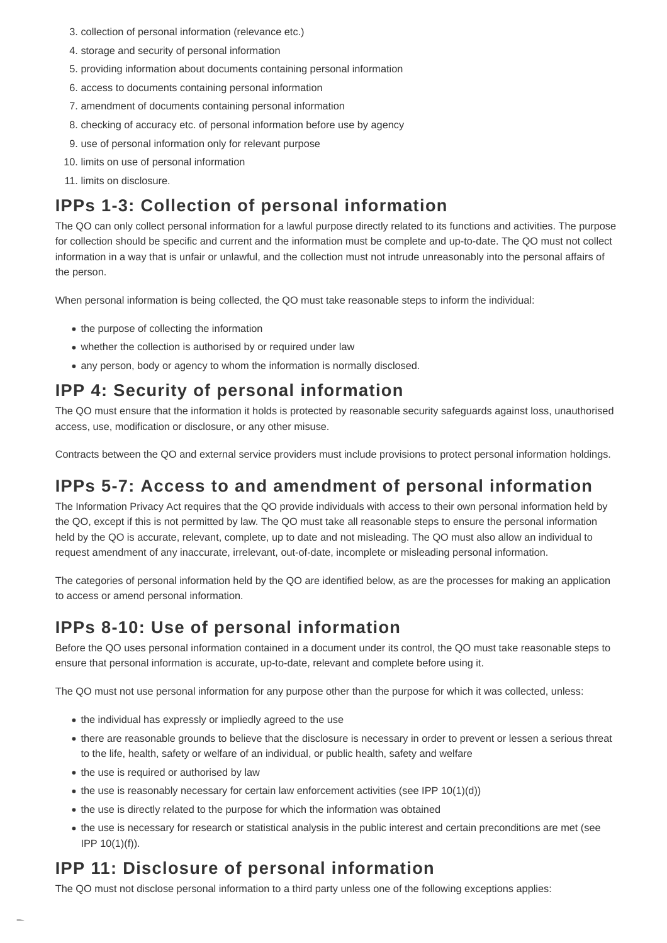- 3. collection of personal information (relevance etc.)
- 4. storage and security of personal information
- 5. providing information about documents containing personal information
- 6. access to documents containing personal information
- 7. amendment of documents containing personal information
- 8. checking of accuracy etc. of personal information before use by agency
- 9. use of personal information only for relevant purpose
- 10. limits on use of personal information
- 11. limits on disclosure.

# **IPPs 1-3: Collection of personal information**

The QO can only collect personal information for a lawful purpose directly related to its functions and activities. The purpose for collection should be specific and current and the information must be complete and up-to-date. The QO must not collect information in a way that is unfair or unlawful, and the collection must not intrude unreasonably into the personal affairs of the person.

When personal information is being collected, the QO must take reasonable steps to inform the individual:

- the purpose of collecting the information
- whether the collection is authorised by or required under law
- any person, body or agency to whom the information is normally disclosed.

## **IPP 4: Security of personal information**

The QO must ensure that the information it holds is protected by reasonable security safeguards against loss, unauthorised access, use, modification or disclosure, or any other misuse.

Contracts between the QO and external service providers must include provisions to protect personal information holdings.

# **IPPs 5-7: Access to and amendment of personal information**

The Information Privacy Act requires that the QO provide individuals with access to their own personal information held by the QO, except if this is not permitted by law. The QO must take all reasonable steps to ensure the personal information held by the QO is accurate, relevant, complete, up to date and not misleading. The QO must also allow an individual to request amendment of any inaccurate, irrelevant, out-of-date, incomplete or misleading personal information.

The categories of personal information held by the QO are identified below, as are the processes for making an application to access or amend personal information.

# **IPPs 8-10: Use of personal information**

Before the QO uses personal information contained in a document under its control, the QO must take reasonable steps to ensure that personal information is accurate, up-to-date, relevant and complete before using it.

The QO must not use personal information for any purpose other than the purpose for which it was collected, unless:

- the individual has expressly or impliedly agreed to the use
- there are reasonable grounds to believe that the disclosure is necessary in order to prevent or lessen a serious threat to the life, health, safety or welfare of an individual, or public health, safety and welfare
- the use is required or authorised by law
- $\bullet$  the use is reasonably necessary for certain law enforcement activities (see IPP 10(1)(d))
- the use is directly related to the purpose for which the information was obtained
- the use is necessary for research or statistical analysis in the public interest and certain preconditions are met (see IPP 10(1)(f)).

# **IPP 11: Disclosure of personal information**

The QO must not disclose personal information to a third party unless one of the following exceptions applies: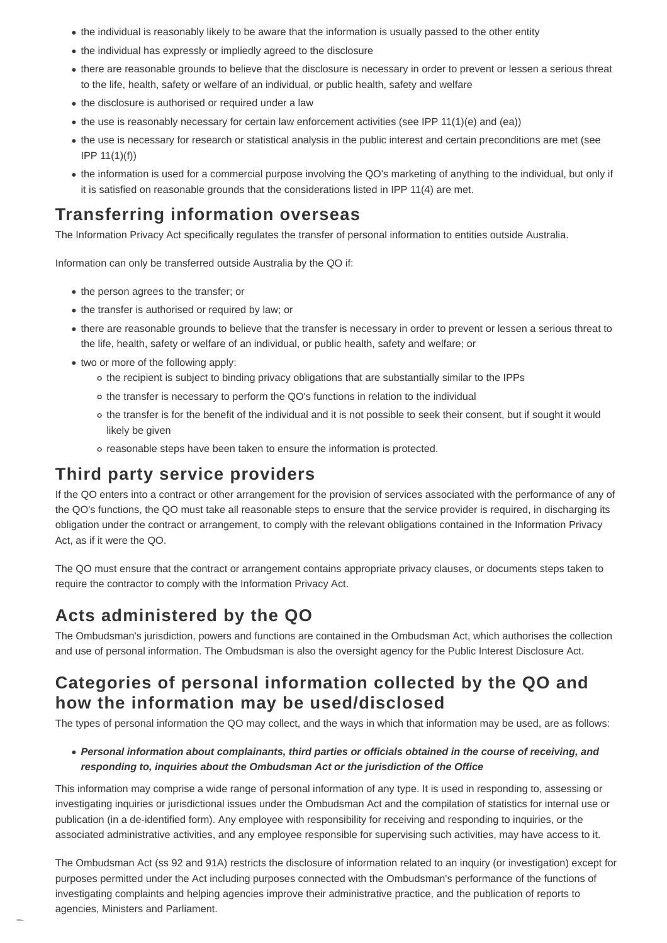- the individual is reasonably likely to be aware that the information is usually passed to the other entity
- the individual has expressly or impliedly agreed to the disclosure
- there are reasonable grounds to believe that the disclosure is necessary in order to prevent or lessen a serious threat to the life, health, safety or welfare of an individual, or public health, safety and welfare
- the disclosure is authorised or required under a law
- $\bullet$  the use is reasonably necessary for certain law enforcement activities (see IPP 11(1)(e) and (ea))
- the use is necessary for research or statistical analysis in the public interest and certain preconditions are met (see IPP 11(1)(f))
- the information is used for a commercial purpose involving the QO's marketing of anything to the individual, but only if it is satisfied on reasonable grounds that the considerations listed in IPP 11(4) are met.

### **Transferring information overseas**

The Information Privacy Act specifically regulates the transfer of personal information to entities outside Australia.

Information can only be transferred outside Australia by the QO if:

- the person agrees to the transfer; or
- the transfer is authorised or required by law; or
- there are reasonable grounds to believe that the transfer is necessary in order to prevent or lessen a serious threat to the life, health, safety or welfare of an individual, or public health, safety and welfare; or
- two or more of the following apply:
	- o the recipient is subject to binding privacy obligations that are substantially similar to the IPPs
	- o the transfer is necessary to perform the QO's functions in relation to the individual
	- the transfer is for the benefit of the individual and it is not possible to seek their consent, but if sought it would likely be given
	- reasonable steps have been taken to ensure the information is protected.

### **Third party service providers**

If the QO enters into a contract or other arrangement for the provision of services associated with the performance of any of the QO's functions, the QO must take all reasonable steps to ensure that the service provider is required, in discharging its obligation under the contract or arrangement, to comply with the relevant obligations contained in the Information Privacy Act, as if it were the QO.

The QO must ensure that the contract or arrangement contains appropriate privacy clauses, or documents steps taken to require the contractor to comply with the Information Privacy Act.

### **Acts administered by the QO**

The Ombudsman's jurisdiction, powers and functions are contained in the Ombudsman Act, which authorises the collection and use of personal information. The Ombudsman is also the oversight agency for the Public Interest Disclosure Act.

### **Categories of personal information collected by the QO and how the information may be used/disclosed**

The types of personal information the QO may collect, and the ways in which that information may be used, are as follows:

#### **Personal information about complainants, third parties or officials obtained in the course of receiving, and responding to, inquiries about the Ombudsman Act or the jurisdiction of the Office**

This information may comprise a wide range of personal information of any type. It is used in responding to, assessing or investigating inquiries or jurisdictional issues under the Ombudsman Act and the compilation of statistics for internal use or publication (in a de-identified form). Any employee with responsibility for receiving and responding to inquiries, or the associated administrative activities, and any employee responsible for supervising such activities, may have access to it.

The Ombudsman Act (ss 92 and 91A) restricts the disclosure of information related to an inquiry (or investigation) except for purposes permitted under the Act including purposes connected with the Ombudsman's performance of the functions of investigating complaints and helping agencies improve their administrative practice, and the publication of reports to agencies, Ministers and Parliament.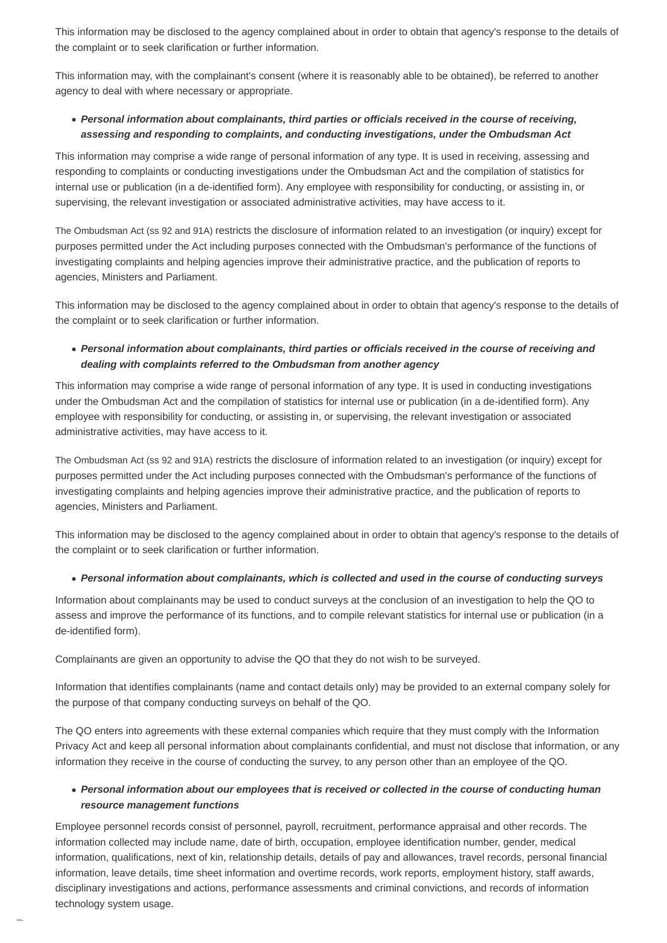This information may be disclosed to the agency complained about in order to obtain that agency's response to the details of the complaint or to seek clarification or further information.

This information may, with the complainant's consent (where it is reasonably able to be obtained), be referred to another agency to deal with where necessary or appropriate.

### **Personal information about complainants, third parties or officials received in the course of receiving, assessing and responding to complaints, and conducting investigations, under the Ombudsman Act**

This information may comprise a wide range of personal information of any type. It is used in receiving, assessing and responding to complaints or conducting investigations under the Ombudsman Act and the compilation of statistics for internal use or publication (in a de-identified form). Any employee with responsibility for conducting, or assisting in, or supervising, the relevant investigation or associated administrative activities, may have access to it.

The Ombudsman Act (ss 92 and 91A) restricts the disclosure of information related to an investigation (or inquiry) except for purposes permitted under the Act including purposes connected with the Ombudsman's performance of the functions of investigating complaints and helping agencies improve their administrative practice, and the publication of reports to agencies, Ministers and Parliament.

This information may be disclosed to the agency complained about in order to obtain that agency's response to the details of the complaint or to seek clarification or further information.

### **Personal information about complainants, third parties or officials received in the course of receiving and dealing with complaints referred to the Ombudsman from another agency**

This information may comprise a wide range of personal information of any type. It is used in conducting investigations under the Ombudsman Act and the compilation of statistics for internal use or publication (in a de-identified form). Any employee with responsibility for conducting, or assisting in, or supervising, the relevant investigation or associated administrative activities, may have access to it.

The Ombudsman Act (ss 92 and 91A) restricts the disclosure of information related to an investigation (or inquiry) except for purposes permitted under the Act including purposes connected with the Ombudsman's performance of the functions of investigating complaints and helping agencies improve their administrative practice, and the publication of reports to agencies, Ministers and Parliament.

This information may be disclosed to the agency complained about in order to obtain that agency's response to the details of the complaint or to seek clarification or further information.

### **Personal information about complainants, which is collected and used in the course of conducting surveys**

Information about complainants may be used to conduct surveys at the conclusion of an investigation to help the QO to assess and improve the performance of its functions, and to compile relevant statistics for internal use or publication (in a de-identified form).

Complainants are given an opportunity to advise the QO that they do not wish to be surveyed.

Information that identifies complainants (name and contact details only) may be provided to an external company solely for the purpose of that company conducting surveys on behalf of the QO.

The QO enters into agreements with these external companies which require that they must comply with the Information Privacy Act and keep all personal information about complainants confidential, and must not disclose that information, or any information they receive in the course of conducting the survey, to any person other than an employee of the QO.

### **Personal information about our employees that is received or collected in the course of conducting human resource management functions**

Employee personnel records consist of personnel, payroll, recruitment, performance appraisal and other records. The information collected may include name, date of birth, occupation, employee identification number, gender, medical information, qualifications, next of kin, relationship details, details of pay and allowances, travel records, personal financial information, leave details, time sheet information and overtime records, work reports, employment history, staff awards, disciplinary investigations and actions, performance assessments and criminal convictions, and records of information technology system usage.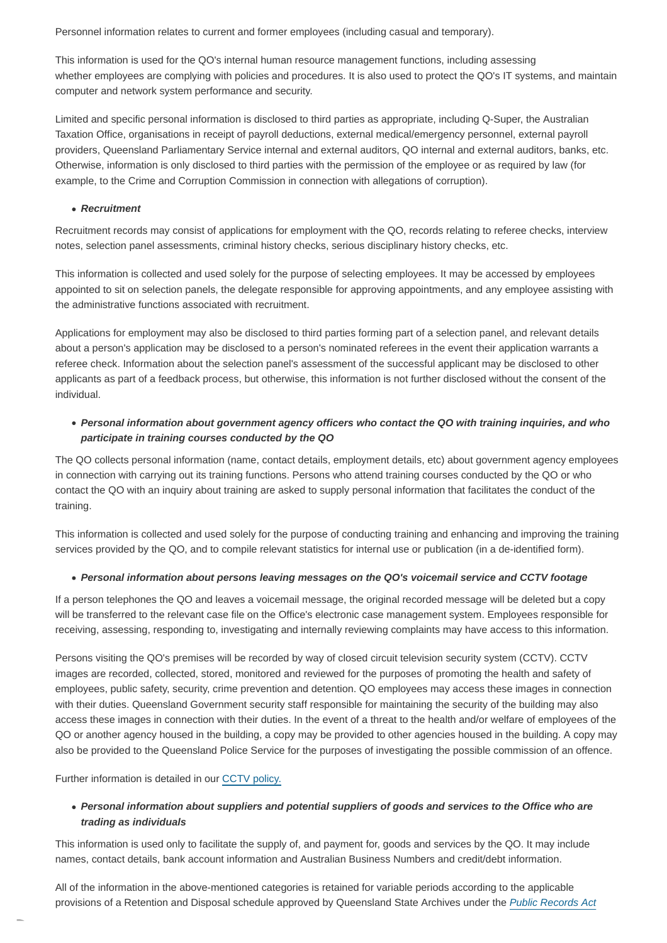Personnel information relates to current and former employees (including casual and temporary).

This information is used for the QO's internal human resource management functions, including assessing whether employees are complying with policies and procedures. It is also used to protect the QO's IT systems, and maintain computer and network system performance and security.

Limited and specific personal information is disclosed to third parties as appropriate, including Q-Super, the Australian Taxation Office, organisations in receipt of payroll deductions, external medical/emergency personnel, external payroll providers, Queensland Parliamentary Service internal and external auditors, QO internal and external auditors, banks, etc. Otherwise, information is only disclosed to third parties with the permission of the employee or as required by law (for example, to the Crime and Corruption Commission in connection with allegations of corruption).

#### **Recruitment**

Recruitment records may consist of applications for employment with the QO, records relating to referee checks, interview notes, selection panel assessments, criminal history checks, serious disciplinary history checks, etc.

This information is collected and used solely for the purpose of selecting employees. It may be accessed by employees appointed to sit on selection panels, the delegate responsible for approving appointments, and any employee assisting with the administrative functions associated with recruitment.

Applications for employment may also be disclosed to third parties forming part of a selection panel, and relevant details about a person's application may be disclosed to a person's nominated referees in the event their application warrants a referee check. Information about the selection panel's assessment of the successful applicant may be disclosed to other applicants as part of a feedback process, but otherwise, this information is not further disclosed without the consent of the individual.

### **Personal information about government agency officers who contact the QO with training inquiries, and who participate in training courses conducted by the QO**

The QO collects personal information (name, contact details, employment details, etc) about government agency employees in connection with carrying out its training functions. Persons who attend training courses conducted by the QO or who contact the QO with an inquiry about training are asked to supply personal information that facilitates the conduct of the training.

This information is collected and used solely for the purpose of conducting training and enhancing and improving the training services provided by the QO, and to compile relevant statistics for internal use or publication (in a de-identified form).

#### **Personal information about persons leaving messages on the QO's voicemail service and CCTV footage**

If a person telephones the QO and leaves a voicemail message, the original recorded message will be deleted but a copy will be transferred to the relevant case file on the Office's electronic case management system. Employees responsible for receiving, assessing, responding to, investigating and internally reviewing complaints may have access to this information.

Persons visiting the QO's premises will be recorded by way of closed circuit television security system (CCTV). CCTV images are recorded, collected, stored, monitored and reviewed for the purposes of promoting the health and safety of employees, public safety, security, crime prevention and detention. QO employees may access these images in connection with their duties. Queensland Government security staff responsible for maintaining the security of the building may also access these images in connection with their duties. In the event of a threat to the health and/or welfare of employees of the QO or another agency housed in the building, a copy may be provided to other agencies housed in the building. A copy may also be provided to the Queensland Police Service for the purposes of investigating the possible commission of an offence.

Further information is detailed in our [CCTV policy.](https://www.ombudsman.qld.gov.au/About-us/Contact-us/Closed-circuit-television-security-system/closed-circuit-television-security-system)

### **Personal information about suppliers and potential suppliers of goods and services to the Office who are trading as individuals**

This information is used only to facilitate the supply of, and payment for, goods and services by the QO. It may include names, contact details, bank account information and Australian Business Numbers and credit/debt information.

All of the information in the above-mentioned categories is retained for variable periods according to the applicable provisions of a Retention and Disposal schedule approved by Queensland State Archives under the [Public Records Act](https://www.legislation.qld.gov.au/LEGISLTN/CURRENT/P/PublicRecA02.pdf)